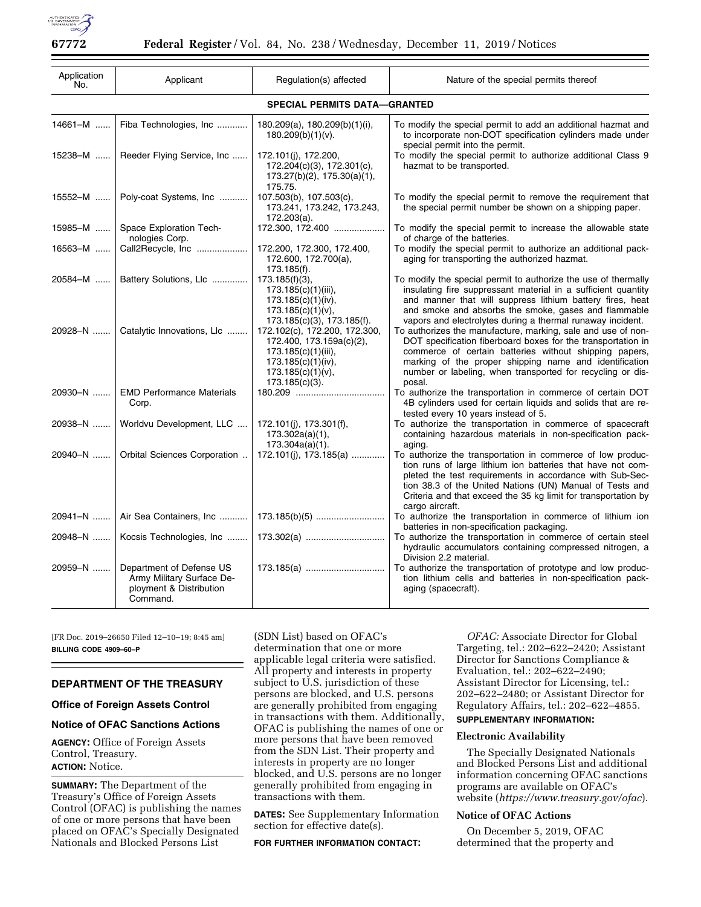

| Application<br>No.                  | Applicant                                                                                    | Regulation(s) affected                                                                                                                              | Nature of the special permits thereof                                                                                                                                                                                                                                                                                                  |
|-------------------------------------|----------------------------------------------------------------------------------------------|-----------------------------------------------------------------------------------------------------------------------------------------------------|----------------------------------------------------------------------------------------------------------------------------------------------------------------------------------------------------------------------------------------------------------------------------------------------------------------------------------------|
| <b>SPECIAL PERMITS DATA-GRANTED</b> |                                                                                              |                                                                                                                                                     |                                                                                                                                                                                                                                                                                                                                        |
| 14661-M                             | Fiba Technologies, Inc                                                                       | $180.209(a)$ , $180.209(b)(1)(i)$ ,<br>$180.209(b)(1)(v)$ .                                                                                         | To modify the special permit to add an additional hazmat and<br>to incorporate non-DOT specification cylinders made under<br>special permit into the permit.                                                                                                                                                                           |
| 15238-M                             | Reeder Flying Service, Inc                                                                   | 172.101(j), 172.200,<br>172.204(c)(3), 172.301(c),<br>$173.27(b)(2)$ , $175.30(a)(1)$ ,<br>175.75.                                                  | To modify the special permit to authorize additional Class 9<br>hazmat to be transported.                                                                                                                                                                                                                                              |
| 15552-M                             | Poly-coat Systems, Inc                                                                       | 107.503(b), 107.503(c),<br>173.241, 173.242, 173.243,<br>172.203(a).                                                                                | To modify the special permit to remove the requirement that<br>the special permit number be shown on a shipping paper.                                                                                                                                                                                                                 |
| 15985-M                             | Space Exploration Tech-<br>nologies Corp.                                                    | 172.300, 172.400                                                                                                                                    | To modify the special permit to increase the allowable state<br>of charge of the batteries.                                                                                                                                                                                                                                            |
| 16563-M                             | Call2Recycle, Inc                                                                            | 172.200, 172.300, 172.400,<br>172.600, 172.700(a),<br>173.185(f).                                                                                   | To modify the special permit to authorize an additional pack-<br>aging for transporting the authorized hazmat.                                                                                                                                                                                                                         |
| 20584-M                             | Battery Solutions, Llc    173.185(f)(3),                                                     | 173.185(c)(1)(iii),<br>$173.185(c)(1)(iv)$ ,<br>173.185(c)(1)(v),<br>173.185(c)(3), 173.185(f).                                                     | To modify the special permit to authorize the use of thermally<br>insulating fire suppressant material in a sufficient quantity<br>and manner that will suppress lithium battery fires, heat<br>and smoke and absorbs the smoke, gases and flammable<br>vapors and electrolytes during a thermal runaway incident.                     |
| 20928-N                             | Catalytic Innovations, LIc                                                                   | 172.102(c), 172.200, 172.300,<br>172.400, 173.159a(c)(2),<br>173.185(c)(1)(iii),<br>173.185(c)(1)(iv),<br>$173.185(c)(1)(v)$ ,<br>$173.185(c)(3)$ . | To authorizes the manufacture, marking, sale and use of non-<br>DOT specification fiberboard boxes for the transportation in<br>commerce of certain batteries without shipping papers,<br>marking of the proper shipping name and identification<br>number or labeling, when transported for recycling or dis-<br>posal.               |
| 20930-N                             | <b>EMD Performance Materials</b><br>Corp.                                                    |                                                                                                                                                     | To authorize the transportation in commerce of certain DOT<br>4B cylinders used for certain liquids and solids that are re-<br>tested every 10 years instead of 5.                                                                                                                                                                     |
| 20938-N                             | Worldvu Development, LLC                                                                     | 172.101(j), 173.301(f),<br>173.302a(a)(1),<br>$173.304a(a)(1)$ .                                                                                    | To authorize the transportation in commerce of spacecraft<br>containing hazardous materials in non-specification pack-<br>aging.                                                                                                                                                                                                       |
| 20940-N                             | Orbital Sciences Corporation                                                                 | 172.101(j), 173.185(a)                                                                                                                              | To authorize the transportation in commerce of low produc-<br>tion runs of large lithium ion batteries that have not com-<br>pleted the test requirements in accordance with Sub-Sec-<br>tion 38.3 of the United Nations (UN) Manual of Tests and<br>Criteria and that exceed the 35 kg limit for transportation by<br>cargo aircraft. |
| 20941-N                             | Air Sea Containers, Inc    173.185(b)(5)                                                     |                                                                                                                                                     | To authorize the transportation in commerce of lithium ion<br>batteries in non-specification packaging.                                                                                                                                                                                                                                |
| 20948–N ……                          | Kocsis Technologies, Inc    173.302(a)                                                       |                                                                                                                                                     | To authorize the transportation in commerce of certain steel<br>hydraulic accumulators containing compressed nitrogen, a<br>Division 2.2 material.                                                                                                                                                                                     |
| 20959-N                             | Department of Defense US<br>Army Military Surface De-<br>ployment & Distribution<br>Command. | 173.185(a)                                                                                                                                          | To authorize the transportation of prototype and low produc-<br>tion lithium cells and batteries in non-specification pack-<br>aging (spacecraft).                                                                                                                                                                                     |

[FR Doc. 2019–26650 Filed 12–10–19; 8:45 am] **BILLING CODE 4909–60–P** 

# **DEPARTMENT OF THE TREASURY**

**Office of Foreign Assets Control** 

## **Notice of OFAC Sanctions Actions**

**AGENCY:** Office of Foreign Assets Control, Treasury. **ACTION:** Notice.

**SUMMARY:** The Department of the Treasury's Office of Foreign Assets Control (OFAC) is publishing the names of one or more persons that have been placed on OFAC's Specially Designated Nationals and Blocked Persons List

(SDN List) based on OFAC's determination that one or more applicable legal criteria were satisfied. All property and interests in property subject to U.S. jurisdiction of these persons are blocked, and U.S. persons are generally prohibited from engaging in transactions with them. Additionally, OFAC is publishing the names of one or more persons that have been removed from the SDN List. Their property and interests in property are no longer blocked, and U.S. persons are no longer generally prohibited from engaging in transactions with them.

**DATES:** See Supplementary Information section for effective date(s).

**FOR FURTHER INFORMATION CONTACT:** 

*OFAC:* Associate Director for Global Targeting, tel.: 202–622–2420; Assistant Director for Sanctions Compliance & Evaluation, tel.: 202–622–2490; Assistant Director for Licensing, tel.: 202–622–2480; or Assistant Director for Regulatory Affairs, tel.: 202–622–4855.

# **SUPPLEMENTARY INFORMATION:**

## **Electronic Availability**

The Specially Designated Nationals and Blocked Persons List and additional information concerning OFAC sanctions programs are available on OFAC's website (*<https://www.treasury.gov/ofac>*).

## **Notice of OFAC Actions**

On December 5, 2019, OFAC determined that the property and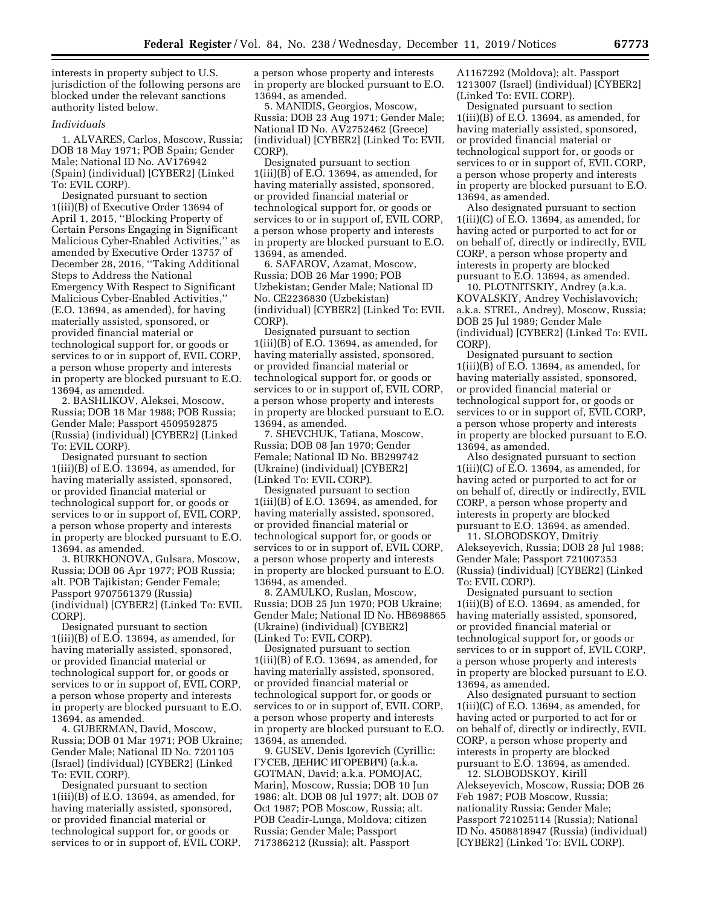interests in property subject to U.S. jurisdiction of the following persons are blocked under the relevant sanctions authority listed below.

## *Individuals*

1. ALVARES, Carlos, Moscow, Russia; DOB 18 May 1971; POB Spain; Gender Male; National ID No. AV176942 (Spain) (individual) [CYBER2] (Linked To: EVIL CORP).

Designated pursuant to section 1(iii)(B) of Executive Order 13694 of April 1, 2015, ''Blocking Property of Certain Persons Engaging in Significant Malicious Cyber-Enabled Activities,'' as amended by Executive Order 13757 of December 28, 2016, ''Taking Additional Steps to Address the National Emergency With Respect to Significant Malicious Cyber-Enabled Activities,'' (E.O. 13694, as amended), for having materially assisted, sponsored, or provided financial material or technological support for, or goods or services to or in support of, EVIL CORP, a person whose property and interests in property are blocked pursuant to E.O. 13694, as amended.

2. BASHLIKOV, Aleksei, Moscow, Russia; DOB 18 Mar 1988; POB Russia; Gender Male; Passport 4509592875 (Russia) (individual) [CYBER2] (Linked To: EVIL CORP).

Designated pursuant to section  $1(iii)(B)$  of E.O. 13694, as amended, for having materially assisted, sponsored, or provided financial material or technological support for, or goods or services to or in support of, EVIL CORP, a person whose property and interests in property are blocked pursuant to E.O. 13694, as amended.

3. BURKHONOVA, Gulsara, Moscow, Russia; DOB 06 Apr 1977; POB Russia; alt. POB Tajikistan; Gender Female; Passport 9707561379 (Russia) (individual) [CYBER2] (Linked To: EVIL CORP).

Designated pursuant to section  $1(iii)(B)$  of E.O. 13694, as amended, for having materially assisted, sponsored, or provided financial material or technological support for, or goods or services to or in support of, EVIL CORP, a person whose property and interests in property are blocked pursuant to E.O. 13694, as amended.

4. GUBERMAN, David, Moscow, Russia; DOB 01 Mar 1971; POB Ukraine; Gender Male; National ID No. 7201105 (Israel) (individual) [CYBER2] (Linked To: EVIL CORP).

Designated pursuant to section 1(iii)(B) of E.O. 13694, as amended, for having materially assisted, sponsored, or provided financial material or technological support for, or goods or services to or in support of, EVIL CORP, a person whose property and interests in property are blocked pursuant to E.O. 13694, as amended.

5. MANIDIS, Georgios, Moscow, Russia; DOB 23 Aug 1971; Gender Male; National ID No. AV2752462 (Greece) (individual) [CYBER2] (Linked To: EVIL CORP).

Designated pursuant to section 1(iii)(B) of E.O. 13694, as amended, for having materially assisted, sponsored, or provided financial material or technological support for, or goods or services to or in support of, EVIL CORP, a person whose property and interests in property are blocked pursuant to E.O. 13694, as amended.

6. SAFAROV, Azamat, Moscow, Russia; DOB 26 Mar 1990; POB Uzbekistan; Gender Male; National ID No. CE2236830 (Uzbekistan) (individual) [CYBER2] (Linked To: EVIL CORP).

Designated pursuant to section 1(iii)(B) of E.O. 13694, as amended, for having materially assisted, sponsored, or provided financial material or technological support for, or goods or services to or in support of, EVIL CORP, a person whose property and interests in property are blocked pursuant to E.O. 13694, as amended.

7. SHEVCHUK, Tatiana, Moscow, Russia; DOB 08 Jan 1970; Gender Female; National ID No. BB299742 (Ukraine) (individual) [CYBER2] (Linked To: EVIL CORP).

Designated pursuant to section 1(iii)(B) of E.O. 13694, as amended, for having materially assisted, sponsored, or provided financial material or technological support for, or goods or services to or in support of, EVIL CORP, a person whose property and interests in property are blocked pursuant to E.O. 13694, as amended.

8. ZAMULKO, Ruslan, Moscow, Russia; DOB 25 Jun 1970; POB Ukraine; Gender Male; National ID No. HB698865 (Ukraine) (individual) [CYBER2] (Linked To: EVIL CORP).

Designated pursuant to section 1(iii)(B) of E.O. 13694, as amended, for having materially assisted, sponsored, or provided financial material or technological support for, or goods or services to or in support of, EVIL CORP, a person whose property and interests in property are blocked pursuant to E.O. 13694, as amended.

9. GUSEV, Denis Igorevich (Cyrillic: ГУСЕВ, ДЕНИС ИГОРЕВИЧ) (a.k.a. GOTMAN, David; a.k.a. POMOJAC, Marin), Moscow, Russia; DOB 10 Jun 1986; alt. DOB 08 Jul 1977; alt. DOB 07 Oct 1987; POB Moscow, Russia; alt. POB Ceadir-Lunga, Moldova; citizen Russia; Gender Male; Passport 717386212 (Russia); alt. Passport

A1167292 (Moldova); alt. Passport 1213007 (Israel) (individual) [CYBER2] (Linked To: EVIL CORP).

Designated pursuant to section  $1(iii)(B)$  of E.O. 13694, as amended, for having materially assisted, sponsored, or provided financial material or technological support for, or goods or services to or in support of, EVIL CORP, a person whose property and interests in property are blocked pursuant to E.O. 13694, as amended.

Also designated pursuant to section  $1(iii)(C)$  of E.O. 13694, as amended, for having acted or purported to act for or on behalf of, directly or indirectly, EVIL CORP, a person whose property and interests in property are blocked pursuant to E.O. 13694, as amended.

10. PLOTNITSKIY, Andrey (a.k.a. KOVALSKIY, Andrey Vechislavovich; a.k.a. STREL, Andrey), Moscow, Russia; DOB 25 Jul 1989; Gender Male (individual) [CYBER2] (Linked To: EVIL CORP).

Designated pursuant to section 1(iii)(B) of E.O. 13694, as amended, for having materially assisted, sponsored, or provided financial material or technological support for, or goods or services to or in support of, EVIL CORP, a person whose property and interests in property are blocked pursuant to E.O. 13694, as amended.

Also designated pursuant to section  $1(iii)(C)$  of E.O. 13694, as amended, for having acted or purported to act for or on behalf of, directly or indirectly, EVIL CORP, a person whose property and interests in property are blocked pursuant to E.O. 13694, as amended.

11. SLOBODSKOY, Dmitriy Alekseyevich, Russia; DOB 28 Jul 1988; Gender Male; Passport 721007353 (Russia) (individual) [CYBER2] (Linked To: EVIL CORP).

Designated pursuant to section  $1(iii)(B)$  of E.O. 13694, as amended, for having materially assisted, sponsored, or provided financial material or technological support for, or goods or services to or in support of, EVIL CORP, a person whose property and interests in property are blocked pursuant to E.O. 13694, as amended.

Also designated pursuant to section 1(iii)(C) of E.O. 13694, as amended, for having acted or purported to act for or on behalf of, directly or indirectly, EVIL CORP, a person whose property and interests in property are blocked pursuant to E.O. 13694, as amended.

12. SLOBODSKOY, Kirill Alekseyevich, Moscow, Russia; DOB 26 Feb 1987; POB Moscow, Russia; nationality Russia; Gender Male; Passport 721025114 (Russia); National ID No. 4508818947 (Russia) (individual) [CYBER2] (Linked To: EVIL CORP).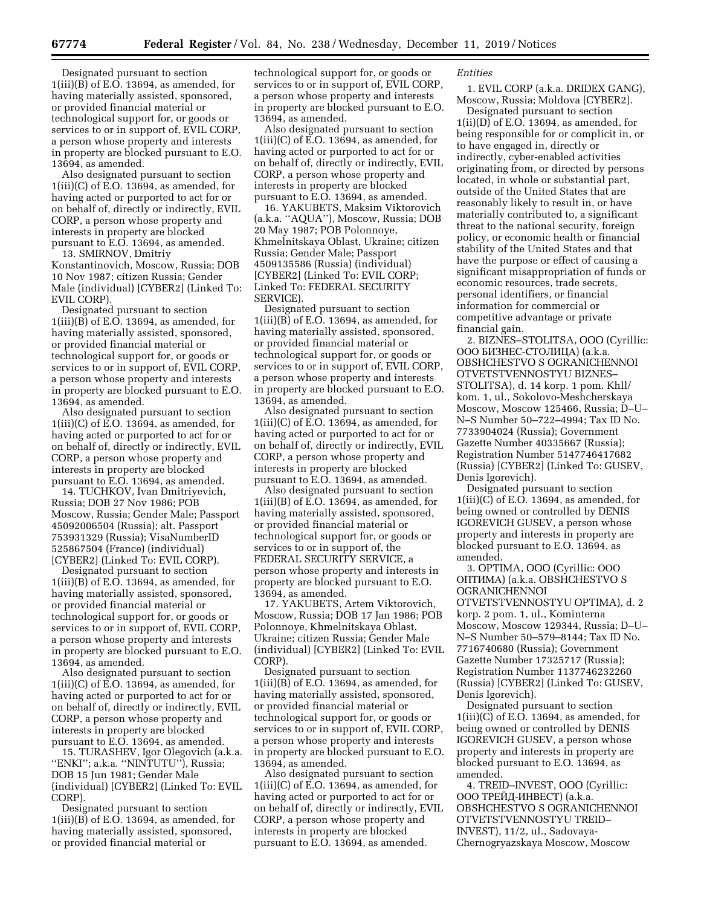Designated pursuant to section 1(iii)(B) of E.O. 13694, as amended, for having materially assisted, sponsored, or provided financial material or technological support for, or goods or services to or in support of, EVIL CORP, a person whose property and interests in property are blocked pursuant to E.O. 13694, as amended.

Also designated pursuant to section  $1(iii)(C)$  of E.O. 13694, as amended, for having acted or purported to act for or on behalf of, directly or indirectly, EVIL CORP, a person whose property and interests in property are blocked pursuant to E.O. 13694, as amended. 13. SMIRNOV, Dmitriy

Konstantinovich, Moscow, Russia; DOB 10 Nov 1987; citizen Russia; Gender Male (individual) [CYBER2] (Linked To: EVIL CORP).

Designated pursuant to section 1(iii)(B) of E.O. 13694, as amended, for having materially assisted, sponsored, or provided financial material or technological support for, or goods or services to or in support of, EVIL CORP, a person whose property and interests in property are blocked pursuant to E.O. 13694, as amended.

Also designated pursuant to section  $1(iii)(C)$  of E.O. 13694, as amended, for having acted or purported to act for or on behalf of, directly or indirectly, EVIL CORP, a person whose property and interests in property are blocked pursuant to E.O. 13694, as amended.

14. TUCHKOV, Ivan Dmitriyevich, Russia; DOB 27 Nov 1986; POB Moscow, Russia; Gender Male; Passport 45092006504 (Russia); alt. Passport 753931329 (Russia); VisaNumberID 525867504 (France) (individual) [CYBER2] (Linked To: EVIL CORP).

Designated pursuant to section 1(iii)(B) of E.O. 13694, as amended, for having materially assisted, sponsored, or provided financial material or technological support for, or goods or services to or in support of, EVIL CORP, a person whose property and interests in property are blocked pursuant to E.O. 13694, as amended.

Also designated pursuant to section 1(iii)(C) of E.O. 13694, as amended, for having acted or purported to act for or on behalf of, directly or indirectly, EVIL CORP, a person whose property and interests in property are blocked pursuant to E.O. 13694, as amended.

15. TURASHEV, Igor Olegovich (a.k.a. "ENKI"; a.k.a. "NINTUTU"), Russia; DOB 15 Jun 1981; Gender Male (individual) [CYBER2] (Linked To: EVIL CORP).

Designated pursuant to section  $1(iii)(B)$  of E.O. 13694, as amended, for having materially assisted, sponsored, or provided financial material or

technological support for, or goods or services to or in support of, EVIL CORP, a person whose property and interests in property are blocked pursuant to E.O. 13694, as amended.

Also designated pursuant to section 1(iii)(C) of E.O. 13694, as amended, for having acted or purported to act for or on behalf of, directly or indirectly, EVIL CORP, a person whose property and interests in property are blocked pursuant to E.O. 13694, as amended.

16. YAKUBETS, Maksim Viktorovich (a.k.a. ''AQUA''), Moscow, Russia; DOB 20 May 1987; POB Polonnoye, Khmelnitskaya Oblast, Ukraine; citizen Russia; Gender Male; Passport 4509135586 (Russia) (individual) [CYBER2] (Linked To: EVIL CORP; Linked To: FEDERAL SECURITY SERVICE).

Designated pursuant to section  $1(iii)(B)$  of E.O. 13694, as amended, for having materially assisted, sponsored, or provided financial material or technological support for, or goods or services to or in support of, EVIL CORP, a person whose property and interests in property are blocked pursuant to E.O. 13694, as amended.

Also designated pursuant to section  $1(iii)(C)$  of E.O. 13694, as amended, for having acted or purported to act for or on behalf of, directly or indirectly, EVIL CORP, a person whose property and interests in property are blocked pursuant to E.O. 13694, as amended.

Also designated pursuant to section 1(iii)(B) of E.O. 13694, as amended, for having materially assisted, sponsored, or provided financial material or technological support for, or goods or services to or in support of, the FEDERAL SECURITY SERVICE, a person whose property and interests in property are blocked pursuant to E.O. 13694, as amended.

17. YAKUBETS, Artem Viktorovich, Moscow, Russia; DOB 17 Jan 1986; POB Polonnoye, Khmelnitskaya Oblast, Ukraine; citizen Russia; Gender Male (individual) [CYBER2] (Linked To: EVIL CORP).

Designated pursuant to section  $1(iii)(B)$  of E.O. 13694, as amended, for having materially assisted, sponsored, or provided financial material or technological support for, or goods or services to or in support of, EVIL CORP, a person whose property and interests in property are blocked pursuant to E.O. 13694, as amended.

Also designated pursuant to section  $1(iii)(C)$  of E.O. 13694, as amended, for having acted or purported to act for or on behalf of, directly or indirectly, EVIL CORP, a person whose property and interests in property are blocked pursuant to E.O. 13694, as amended.

*Entities* 

1. EVIL CORP (a.k.a. DRIDEX GANG), Moscow, Russia; Moldova [CYBER2].

Designated pursuant to section 1(ii)(D) of E.O. 13694, as amended, for being responsible for or complicit in, or to have engaged in, directly or indirectly, cyber-enabled activities originating from, or directed by persons located, in whole or substantial part, outside of the United States that are reasonably likely to result in, or have materially contributed to, a significant threat to the national security, foreign policy, or economic health or financial stability of the United States and that have the purpose or effect of causing a significant misappropriation of funds or economic resources, trade secrets, personal identifiers, or financial information for commercial or competitive advantage or private financial gain.

2. BIZNES–STOLITSA, OOO (Cyrillic: ООО БИЗНЕС-СТОЛИЦА) (a.k.a. OBSHCHESTVO S OGRANICHENNOI OTVETSTVENNOSTYU BIZNES– STOLITSA), d. 14 korp. 1 pom. Khll/ kom. 1, ul., Sokolovo-Meshcherskaya Moscow, Moscow 125466, Russia; D–U– N–S Number 50–722–4994; Tax ID No. 7733904024 (Russia); Government Gazette Number 40335667 (Russia); Registration Number 5147746417682 (Russia) [CYBER2] (Linked To: GUSEV, Denis Igorevich).

Designated pursuant to section 1(iii)(C) of E.O. 13694, as amended, for being owned or controlled by DENIS IGOREVICH GUSEV, a person whose property and interests in property are blocked pursuant to E.O. 13694, as amended.

3. OPTIMA, OOO (Cyrillic: OOO ОПТИМА) (a.k.a. OBSHCHESTVO S **OGRANICHENNOI** OTVETSTVENNOSTYU OPTIMA), d. 2 korp. 2 pom. 1, ul., Kominterna Moscow, Moscow 129344, Russia; D–U– N–S Number 50–579–8144; Tax ID No. 7716740680 (Russia); Government Gazette Number 17325717 (Russia); Registration Number 1137746232260 (Russia) [CYBER2] (Linked To: GUSEV, Denis Igorevich).

Designated pursuant to section  $1(iii)(C)$  of E.O. 13694, as amended, for being owned or controlled by DENIS IGOREVICH GUSEV, a person whose property and interests in property are blocked pursuant to E.O. 13694, as amended.

4. TREID–INVEST, OOO (Cyrillic: ООО ТРЕЙД-ИНВЕСТ) (a.k.a. OBSHCHESTVO S OGRANICHENNOI OTVETSTVENNOSTYU TREID– INVEST), 11/2, ul., Sadovaya-Chernogryazskaya Moscow, Moscow